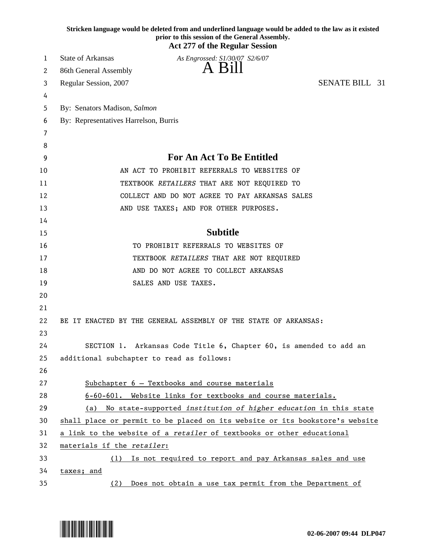|    | Stricken language would be deleted from and underlined language would be added to the law as it existed<br>prior to this session of the General Assembly.<br><b>Act 277 of the Regular Session</b> |
|----|----------------------------------------------------------------------------------------------------------------------------------------------------------------------------------------------------|
| 1  | <b>State of Arkansas</b><br>As Engrossed: S1/30/07 S2/6/07                                                                                                                                         |
| 2  | A Bill<br>86th General Assembly                                                                                                                                                                    |
| 3  | <b>SENATE BILL 31</b><br>Regular Session, 2007                                                                                                                                                     |
| 4  |                                                                                                                                                                                                    |
| 5  | By: Senators Madison, Salmon                                                                                                                                                                       |
| 6  | By: Representatives Harrelson, Burris                                                                                                                                                              |
| 7  |                                                                                                                                                                                                    |
| 8  |                                                                                                                                                                                                    |
| 9  | For An Act To Be Entitled                                                                                                                                                                          |
| 10 | AN ACT TO PROHIBIT REFERRALS TO WEBSITES OF                                                                                                                                                        |
| 11 | TEXTBOOK RETAILERS THAT ARE NOT REQUIRED TO                                                                                                                                                        |
| 12 | COLLECT AND DO NOT AGREE TO PAY ARKANSAS SALES                                                                                                                                                     |
| 13 | AND USE TAXES; AND FOR OTHER PURPOSES.                                                                                                                                                             |
| 14 |                                                                                                                                                                                                    |
| 15 | <b>Subtitle</b>                                                                                                                                                                                    |
| 16 | TO PROHIBIT REFERRALS TO WEBSITES OF                                                                                                                                                               |
| 17 | TEXTBOOK RETAILERS THAT ARE NOT REQUIRED                                                                                                                                                           |
| 18 | AND DO NOT AGREE TO COLLECT ARKANSAS                                                                                                                                                               |
| 19 | SALES AND USE TAXES.                                                                                                                                                                               |
| 20 |                                                                                                                                                                                                    |
| 21 |                                                                                                                                                                                                    |
| 22 | BE IT ENACTED BY THE GENERAL ASSEMBLY OF THE STATE OF ARKANSAS:                                                                                                                                    |
| 23 |                                                                                                                                                                                                    |
| 24 | SECTION 1. Arkansas Code Title 6, Chapter 60, is amended to add an                                                                                                                                 |
| 25 | additional subchapter to read as follows:                                                                                                                                                          |
| 26 |                                                                                                                                                                                                    |
| 27 | Subchapter $6$ - Textbooks and course materials                                                                                                                                                    |
| 28 | 6-60-601. Website links for textbooks and course materials.                                                                                                                                        |
| 29 | (a) No state-supported institution of higher education in this state                                                                                                                               |
| 30 | shall place or permit to be placed on its website or its bookstore's website                                                                                                                       |
| 31 | a link to the website of a retailer of textbooks or other educational                                                                                                                              |
| 32 | materials if the retailer:                                                                                                                                                                         |
| 33 | Is not required to report and pay Arkansas sales and use<br>(1)                                                                                                                                    |
| 34 | taxes; and                                                                                                                                                                                         |
| 35 | Does not obtain a use tax permit from the Department of<br>(2)                                                                                                                                     |